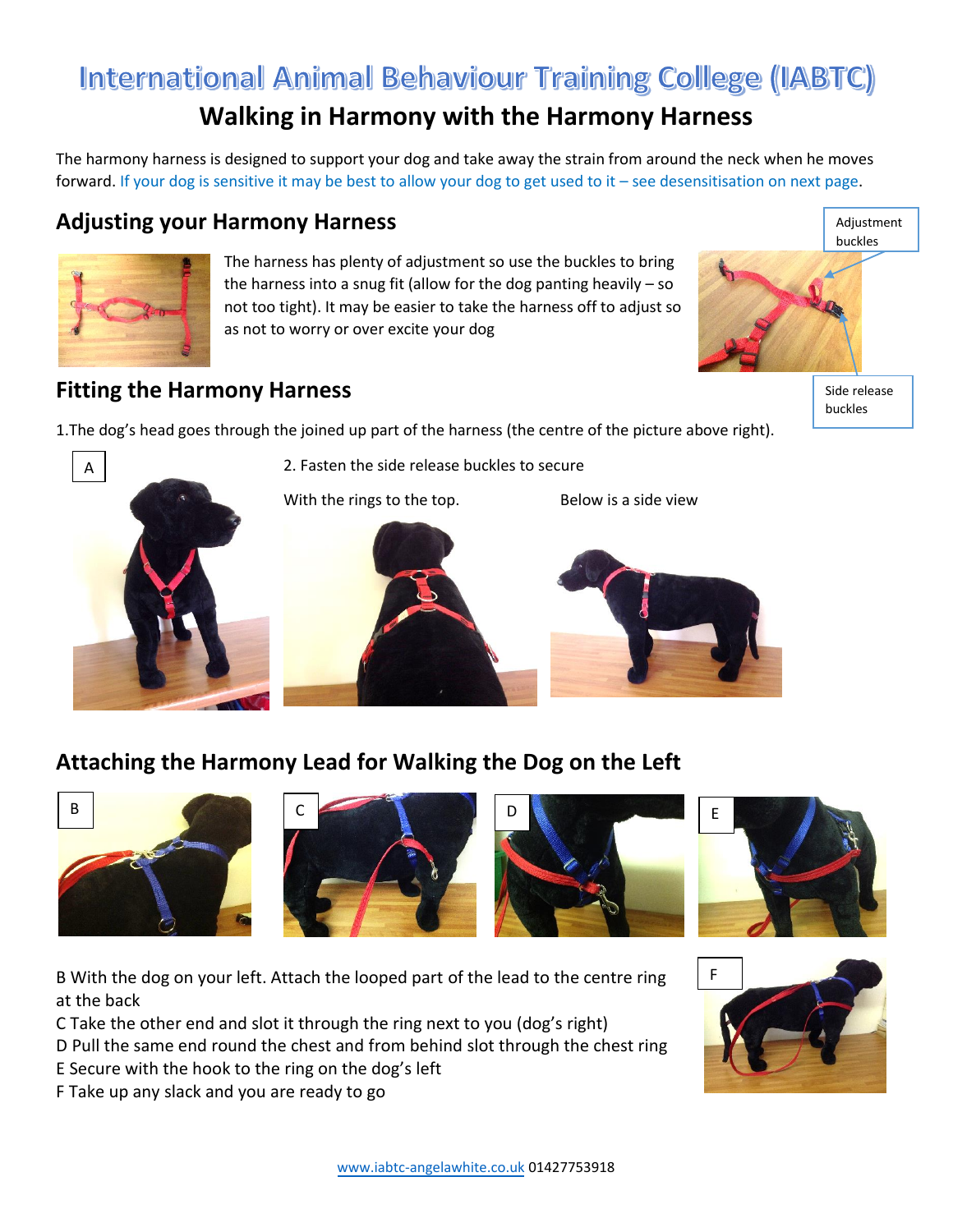# International Animal Behaviour Training College (IABTC) **Walking in Harmony with the Harmony Harness**

The harmony harness is designed to support your dog and take away the strain from around the neck when he moves forward. If your dog is sensitive it may be best to allow your dog to get used to it – see desensitisation on next page.

### **Adjusting your Harmony Harness**



The harness has plenty of adjustment so use the buckles to bring the harness into a snug fit (allow for the dog panting heavily – so not too tight). It may be easier to take the harness off to adjust so as not to worry or over excite your dog



buckles

## **Fitting the Harmony Harness**

1.The dog's head goes through the joined up part of the harness (the centre of the picture above right).



2. Fasten the side release buckles to secure

With the rings to the top. Below is a side view



# **Attaching the Harmony Lead for Walking the Dog on the Left**









B With the dog on your left. Attach the looped part of the lead to the centre ring at the back

C Take the other end and slot it through the ring next to you (dog's right)

D Pull the same end round the chest and from behind slot through the chest ring

E Secure with the hook to the ring on the dog's left

F Take up any slack and you are ready to go